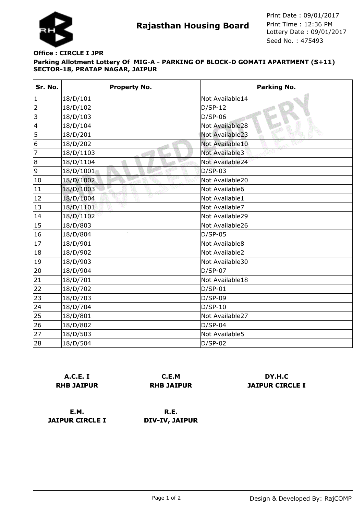

## **Parking Allotment Lottery Of MIG-A - PARKING OF BLOCK-D GOMATI APARTMENT (S+11) SECTOR-18, PRATAP NAGAR, JAIPUR Office : CIRCLE I JPR**

| Sr. No.                  | <b>Property No.</b> | Parking No.           |
|--------------------------|---------------------|-----------------------|
| $\mathbf{1}$             | 18/D/101            | Not Available14       |
| $\overline{2}$           | 18/D/102            | $D/SP-12$             |
| 3                        | 18/D/103            | $D/SP-06$<br>ा        |
| $\overline{\mathcal{L}}$ | 18/D/104            | Not Available28       |
| 5                        | 18/D/201            | Not Available23       |
| 6                        | 18/D/202            | Not Available10       |
| 7                        | 18/D/1103           | <b>Not Available3</b> |
| 8                        | 18/D/1104           | Not Available24       |
| 9                        | 18/D/1001           | $D/SP-03$             |
| 10                       | 18/D/1002           | Not Available20       |
| 11                       | 18/D/1003           | Not Available6        |
| 12                       | 18/D/1004           | Not Available1        |
| 13                       | 18/D/1101           | Not Available7        |
| 14                       | 18/D/1102           | Not Available29       |
| 15                       | 18/D/803            | Not Available26       |
| 16                       | 18/D/804            | $D/SP-05$             |
| 17                       | 18/D/901            | Not Available8        |
| 18                       | 18/D/902            | Not Available2        |
| 19                       | 18/D/903            | Not Available30       |
| 20                       | 18/D/904            | $D/SP-07$             |
| 21                       | 18/D/701            | Not Available18       |
| 22                       | 18/D/702            | $D/SP-01$             |
| 23                       | 18/D/703            | $D/SP-09$             |
| 24                       | 18/D/704            | $D/SP-10$             |
| 25                       | 18/D/801            | Not Available27       |
| 26                       | 18/D/802            | $D/SP-04$             |
| 27                       | 18/D/503            | Not Available5        |
| 28                       | 18/D/504            | $D/SP-02$             |

|                   | A.C.E. I |  |
|-------------------|----------|--|
| <b>RHB JAIPUR</b> |          |  |

**C.E.M RHB JAIPUR**

**DY.H.C JAIPUR CIRCLE I**

**E.M. JAIPUR CIRCLE I**

**R.E. DIV-IV, JAIPUR**